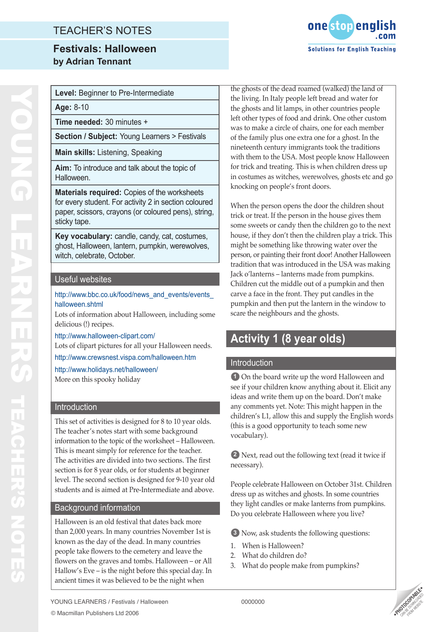# TEACHER'S NOTES

## **Festivals: Halloween by Adrian Tennant**



**Level:** Beginner to Pre-Intermediate

**Age:** 8-10

**Time needed:** 30 minutes +

**Section / Subject:** Young Learners > Festivals

**Main skills:** Listening, Speaking

**Aim:** To introduce and talk about the topic of Halloween.

**Materials required:** Copies of the worksheets for every student. For activity 2 in section coloured paper, scissors, crayons (or coloured pens), string, sticky tape.

**Key vocabulary:** candle, candy, cat, costumes, ghost, Halloween, lantern, pumpkin, werewolves, witch, celebrate, October.

#### Useful websites

 $\overline{a}$ 

http://www.bbc.co.uk/food/news\_and\_events/events halloween.shtml

Lots of information about Halloween, including some delicious (!) recipes.

http://www.halloween-clipart.com/ Lots of clipart pictures for all your Halloween needs.

http://www.crewsnest.vispa.com/halloween.htm

http://www.holidays.net/halloween/

More on this spooky holiday

#### Introduction

This set of activities is designed for 8 to 10 year olds. The teacher's notes start with some background information to the topic of the worksheet – Halloween. This is meant simply for reference for the teacher. The activities are divided into two sections. The first section is for 8 year olds, or for students at beginner level. The second section is designed for 9-10 year old students and is aimed at Pre-Intermediate and above.

#### Background information

Halloween is an old festival that dates back more than 2,000 years. In many countries November 1st is known as the day of the dead. In many countries people take flowers to the cemetery and leave the flowers on the graves and tombs. Halloween – or All Hallow's Eve – is the night before this special day. In ancient times it was believed to be the night when

the ghosts of the dead roamed (walked) the land of the living. In Italy people left bread and water for the ghosts and lit lamps, in other countries people left other types of food and drink. One other custom was to make a circle of chairs, one for each member of the family plus one extra one for a ghost. In the nineteenth century immigrants took the traditions with them to the USA. Most people know Halloween for trick and treating. This is when children dress up in costumes as witches, werewolves, ghosts etc and go knocking on people's front doors.

When the person opens the door the children shout trick or treat. If the person in the house gives them some sweets or candy then the children go to the next house, if they don't then the children play a trick. This might be something like throwing water over the person, or painting their front door! Another Halloween tradition that was introduced in the USA was making Jack o'lanterns – lanterns made from pumpkins. Children cut the middle out of a pumpkin and then carve a face in the front. They put candles in the pumpkin and then put the lantern in the window to scare the neighbours and the ghosts.

# **Activity 1 (8 year olds)**

#### Introduction

**1** On the board write up the word Halloween and see if your children know anything about it. Elicit any ideas and write them up on the board. Don't make any comments yet. Note: This might happen in the children's L1, allow this and supply the English words (this is a good opportunity to teach some new vocabulary).

**2** Next, read out the following text (read it twice if necessary).

People celebrate Halloween on October 31st. Children dress up as witches and ghosts. In some countries they light candles or make lanterns from pumpkins. Do you celebrate Halloween where you live?

**3** Now, ask students the following questions:

- 1. When is Halloween?
- 2. What do children do?
- 3. What do people make from pumpkins?

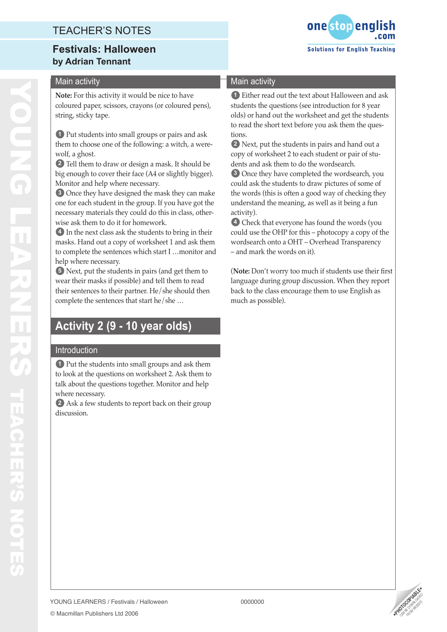# TEACHER'S NOTES

## **Festivals: Halloween by Adrian Tennant**

### Main activity

**Note:** For this activity it would be nice to have coloured paper, scissors, crayons (or coloured pens), string, sticky tape.

**1** Put students into small groups or pairs and ask them to choose one of the following: a witch, a were wolf, a ghost.

**2** Tell them to draw or design a mask. It should be big enough to cover their face (A4 or slightly bigger). Monitor and help where necessary.

**3** Once they have designed the mask they can make one for each student in the group. If you have got the necessary materials they could do this in class, other wise ask them to do it for homework.

**4** In the next class ask the students to bring in their masks. Hand out a copy of worksheet 1 and ask them to complete the sentences which start I …monitor and help where necessary.

**5** Next, put the students in pairs (and get them to wear their masks if possible) and tell them to read their sentences to their partner. He/she should then complete the sentences that start he/she …

# **Activity 2 (9 - 10 year olds)**

### Introduction

© Macmillan Publishers Ltd 2006

**1** Put the students into small groups and ask them to look at the questions on worksheet 2. Ask them to talk about the questions together. Monitor and help where necessary.

**2** Ask a few students to report back on their group discussion.



#### Main activity

**1** Either read out the text about Halloween and ask students the questions (see introduction for 8 year olds) or hand out the worksheet and get the students to read the short text before you ask them the ques tions.

**2** Next, put the students in pairs and hand out a copy of worksheet 2 to each student or pair of stu dents and ask them to do the wordsearch.

**3** Once they have completed the wordsearch, you could ask the students to draw pictures of some of the words (this is often a good way of checking they understand the meaning, as well as it being a fun activity).

**4** Check that everyone has found the words (you could use the OHP for this – photocopy a copy of the wordsearch onto a OHT – Overhead Transparency – and mark the words on it). (**Note:** Don't worry too much if students use their first

language during group discussion. When they report back to the class encourage them to use English as much as possible).



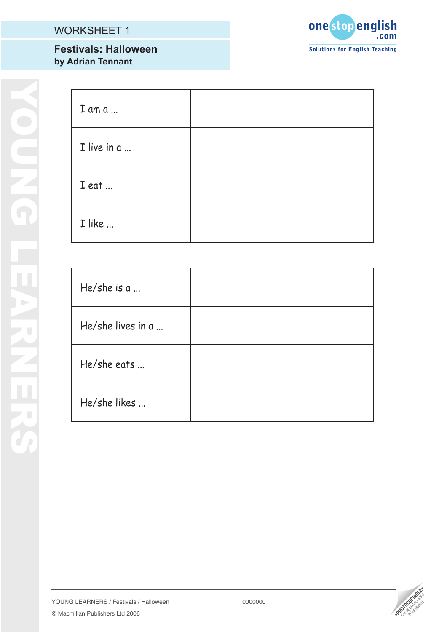# WORKSHEET 1

## **Festivals: Halloween by Adrian Tennant**



| I am a      |  |
|-------------|--|
| I live in a |  |
| I eat       |  |
| I like      |  |

| He/she is $a_{}$  |  |
|-------------------|--|
| He/she lives in a |  |
| He/she eats       |  |
| He/she likes      |  |